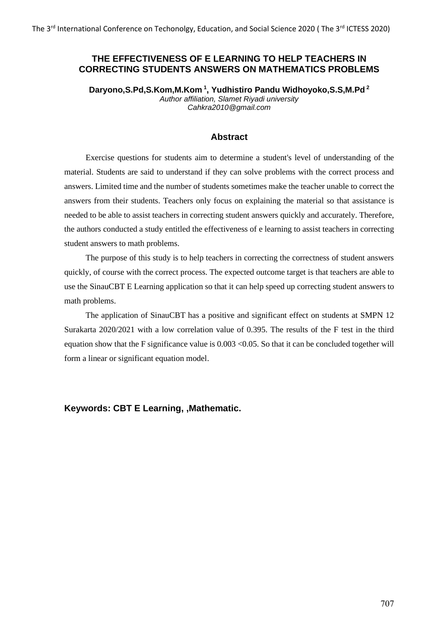### **THE EFFECTIVENESS OF E LEARNING TO HELP TEACHERS IN CORRECTING STUDENTS ANSWERS ON MATHEMATICS PROBLEMS**

**Daryono,S.Pd,S.Kom,M.Kom <sup>1</sup> , Yudhistiro Pandu Widhoyoko,S.S,M.Pd <sup>2</sup>** *Author affiliation, Slamet Riyadi university Cahkra2010@gmail.com*

#### **Abstract**

Exercise questions for students aim to determine a student's level of understanding of the material. Students are said to understand if they can solve problems with the correct process and answers. Limited time and the number of students sometimes make the teacher unable to correct the answers from their students. Teachers only focus on explaining the material so that assistance is needed to be able to assist teachers in correcting student answers quickly and accurately. Therefore, the authors conducted a study entitled the effectiveness of e learning to assist teachers in correcting student answers to math problems.

The purpose of this study is to help teachers in correcting the correctness of student answers quickly, of course with the correct process. The expected outcome target is that teachers are able to use the SinauCBT E Learning application so that it can help speed up correcting student answers to math problems.

The application of SinauCBT has a positive and significant effect on students at SMPN 12 Surakarta 2020/2021 with a low correlation value of 0.395. The results of the F test in the third equation show that the F significance value is 0.003 <0.05. So that it can be concluded together will form a linear or significant equation model.

**Keywords: CBT E Learning, ,Mathematic.**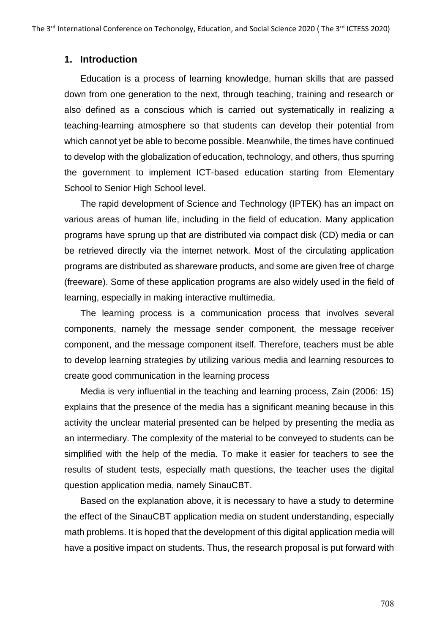## **1. Introduction**

Education is a process of learning knowledge, human skills that are passed down from one generation to the next, through teaching, training and research or also defined as a conscious which is carried out systematically in realizing a teaching-learning atmosphere so that students can develop their potential from which cannot yet be able to become possible. Meanwhile, the times have continued to develop with the globalization of education, technology, and others, thus spurring the government to implement ICT-based education starting from Elementary School to Senior High School level.

The rapid development of Science and Technology (IPTEK) has an impact on various areas of human life, including in the field of education. Many application programs have sprung up that are distributed via compact disk (CD) media or can be retrieved directly via the internet network. Most of the circulating application programs are distributed as shareware products, and some are given free of charge (freeware). Some of these application programs are also widely used in the field of learning, especially in making interactive multimedia.

The learning process is a communication process that involves several components, namely the message sender component, the message receiver component, and the message component itself. Therefore, teachers must be able to develop learning strategies by utilizing various media and learning resources to create good communication in the learning process

Media is very influential in the teaching and learning process, Zain (2006: 15) explains that the presence of the media has a significant meaning because in this activity the unclear material presented can be helped by presenting the media as an intermediary. The complexity of the material to be conveyed to students can be simplified with the help of the media. To make it easier for teachers to see the results of student tests, especially math questions, the teacher uses the digital question application media, namely SinauCBT.

Based on the explanation above, it is necessary to have a study to determine the effect of the SinauCBT application media on student understanding, especially math problems. It is hoped that the development of this digital application media will have a positive impact on students. Thus, the research proposal is put forward with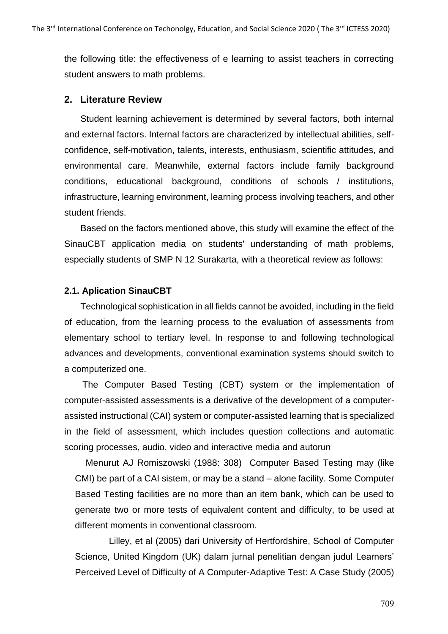the following title: the effectiveness of e learning to assist teachers in correcting student answers to math problems.

## **2. Literature Review**

Student learning achievement is determined by several factors, both internal and external factors. Internal factors are characterized by intellectual abilities, selfconfidence, self-motivation, talents, interests, enthusiasm, scientific attitudes, and environmental care. Meanwhile, external factors include family background conditions, educational background, conditions of schools / institutions, infrastructure, learning environment, learning process involving teachers, and other student friends.

Based on the factors mentioned above, this study will examine the effect of the SinauCBT application media on students' understanding of math problems, especially students of SMP N 12 Surakarta, with a theoretical review as follows:

### **2.1. Aplication SinauCBT**

Technological sophistication in all fields cannot be avoided, including in the field of education, from the learning process to the evaluation of assessments from elementary school to tertiary level. In response to and following technological advances and developments, conventional examination systems should switch to a computerized one.

The Computer Based Testing (CBT) system or the implementation of computer-assisted assessments is a derivative of the development of a computerassisted instructional (CAI) system or computer-assisted learning that is specialized in the field of assessment, which includes question collections and automatic scoring processes, audio, video and interactive media and autorun

Menurut AJ Romiszowski (1988: 308) Computer Based Testing may (like CMI) be part of a CAI sistem, or may be a stand – alone facility. Some Computer Based Testing facilities are no more than an item bank, which can be used to generate two or more tests of equivalent content and difficulty, to be used at different moments in conventional classroom.

Lilley, et al (2005) dari University of Hertfordshire, School of Computer Science, United Kingdom (UK) dalam jurnal penelitian dengan judul Learners' Perceived Level of Difficulty of A Computer-Adaptive Test: A Case Study (2005)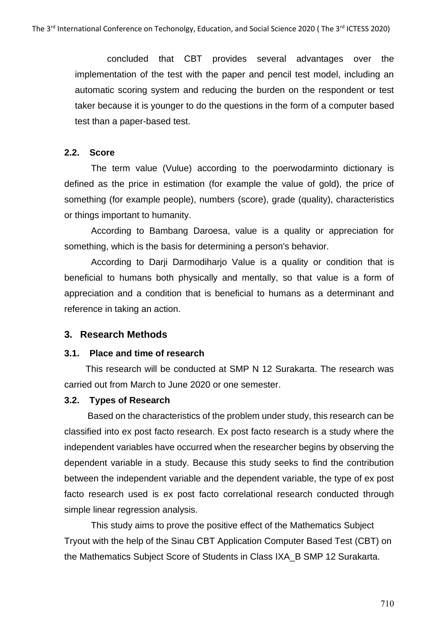concluded that CBT provides several advantages over the implementation of the test with the paper and pencil test model, including an automatic scoring system and reducing the burden on the respondent or test taker because it is younger to do the questions in the form of a computer based test than a paper-based test.

### **2.2. Score**

The term value (Vulue) according to the poerwodarminto dictionary is defined as the price in estimation (for example the value of gold), the price of something (for example people), numbers (score), grade (quality), characteristics or things important to humanity.

According to Bambang Daroesa, value is a quality or appreciation for something, which is the basis for determining a person's behavior.

According to Darji Darmodiharjo Value is a quality or condition that is beneficial to humans both physically and mentally, so that value is a form of appreciation and a condition that is beneficial to humans as a determinant and reference in taking an action.

### **3. Research Methods**

#### **3.1. Place and time of research**

This research will be conducted at SMP N 12 Surakarta. The research was carried out from March to June 2020 or one semester.

#### **3.2. Types of Research**

 Based on the characteristics of the problem under study, this research can be classified into ex post facto research. Ex post facto research is a study where the independent variables have occurred when the researcher begins by observing the dependent variable in a study. Because this study seeks to find the contribution between the independent variable and the dependent variable, the type of ex post facto research used is ex post facto correlational research conducted through simple linear regression analysis.

This study aims to prove the positive effect of the Mathematics Subject Tryout with the help of the Sinau CBT Application Computer Based Test (CBT) on the Mathematics Subject Score of Students in Class IXA\_B SMP 12 Surakarta.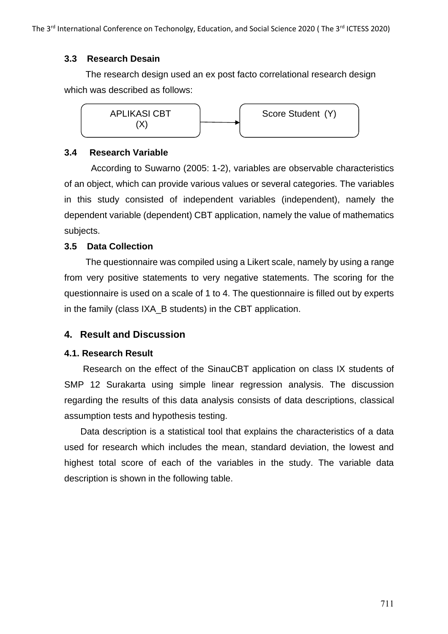## **3.3 Research Desain**

The research design used an ex post facto correlational research design which was described as follows:



## **3.4 Research Variable**

According to Suwarno (2005: 1-2), variables are observable characteristics of an object, which can provide various values or several categories. The variables in this study consisted of independent variables (independent), namely the dependent variable (dependent) CBT application, namely the value of mathematics subjects.

## **3.5 Data Collection**

The questionnaire was compiled using a Likert scale, namely by using a range from very positive statements to very negative statements. The scoring for the questionnaire is used on a scale of 1 to 4. The questionnaire is filled out by experts in the family (class IXA\_B students) in the CBT application.

# **4. Result and Discussion**

## **4.1. Research Result**

Research on the effect of the SinauCBT application on class IX students of SMP 12 Surakarta using simple linear regression analysis. The discussion regarding the results of this data analysis consists of data descriptions, classical assumption tests and hypothesis testing.

Data description is a statistical tool that explains the characteristics of a data used for research which includes the mean, standard deviation, the lowest and highest total score of each of the variables in the study. The variable data description is shown in the following table.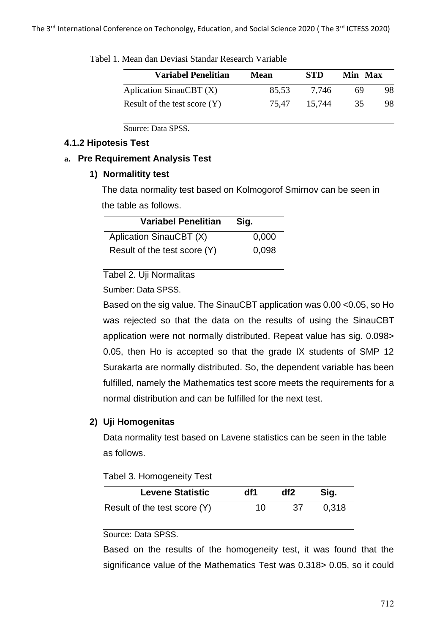| <b>Variabel Penelitian</b>     | Mean  | STD    | Min Max |    |
|--------------------------------|-------|--------|---------|----|
| Aplication SinauCBT $(X)$      | 85,53 | 7.746  | 69      | 98 |
| Result of the test score $(Y)$ | 75.47 | 15.744 | 35      | 98 |

Tabel 1. Mean dan Deviasi Standar Research Variable

Source: Data SPSS.

#### **4.1.2 Hipotesis Test**

#### **a. Pre Requirement Analysis Test**

### **1) Normalitity test**

The data normality test based on Kolmogorof Smirnov can be seen in the table as follows.

| <b>Variabel Penelitian</b>   | Sig.  |
|------------------------------|-------|
| Aplication SinauCBT (X)      | 0,000 |
| Result of the test score (Y) | 0.098 |

Tabel 2. Uji Normalitas

Sumber: Data SPSS.

Based on the sig value. The SinauCBT application was 0.00 <0.05, so Ho was rejected so that the data on the results of using the SinauCBT application were not normally distributed. Repeat value has sig. 0.098> 0.05, then Ho is accepted so that the grade IX students of SMP 12 Surakarta are normally distributed. So, the dependent variable has been fulfilled, namely the Mathematics test score meets the requirements for a normal distribution and can be fulfilled for the next test.

## **2) Uji Homogenitas**

Data normality test based on Lavene statistics can be seen in the table as follows.

| <b>Levene Statistic</b>      | df1 | df2 | Sig.  |
|------------------------------|-----|-----|-------|
| Result of the test score (Y) | 10  | -37 | 0.318 |

### Source: Data SPSS.

Based on the results of the homogeneity test, it was found that the significance value of the Mathematics Test was 0.318> 0.05, so it could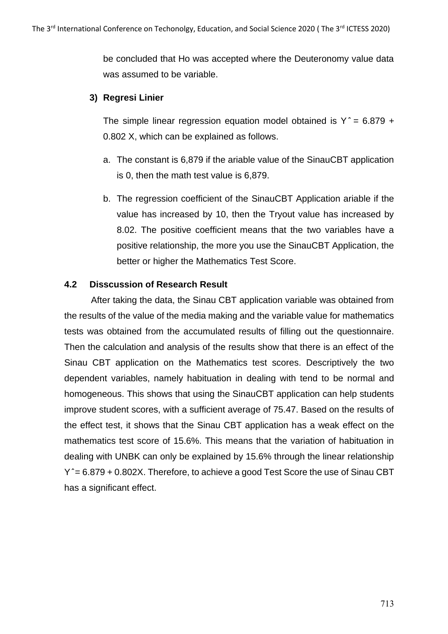be concluded that Ho was accepted where the Deuteronomy value data was assumed to be variable.

## **3) Regresi Linier**

The simple linear regression equation model obtained is  $Y^* = 6.879 + 1$ 0.802 X, which can be explained as follows.

- a. The constant is 6,879 if the ariable value of the SinauCBT application is 0, then the math test value is 6,879.
- b. The regression coefficient of the SinauCBT Application ariable if the value has increased by 10, then the Tryout value has increased by 8.02. The positive coefficient means that the two variables have a positive relationship, the more you use the SinauCBT Application, the better or higher the Mathematics Test Score.

## **4.2 Disscussion of Research Result**

After taking the data, the Sinau CBT application variable was obtained from the results of the value of the media making and the variable value for mathematics tests was obtained from the accumulated results of filling out the questionnaire. Then the calculation and analysis of the results show that there is an effect of the Sinau CBT application on the Mathematics test scores. Descriptively the two dependent variables, namely habituation in dealing with tend to be normal and homogeneous. This shows that using the SinauCBT application can help students improve student scores, with a sufficient average of 75.47. Based on the results of the effect test, it shows that the Sinau CBT application has a weak effect on the mathematics test score of 15.6%. This means that the variation of habituation in dealing with UNBK can only be explained by 15.6% through the linear relationship Y  $\degree$  = 6.879 + 0.802X. Therefore, to achieve a good Test Score the use of Sinau CBT has a significant effect.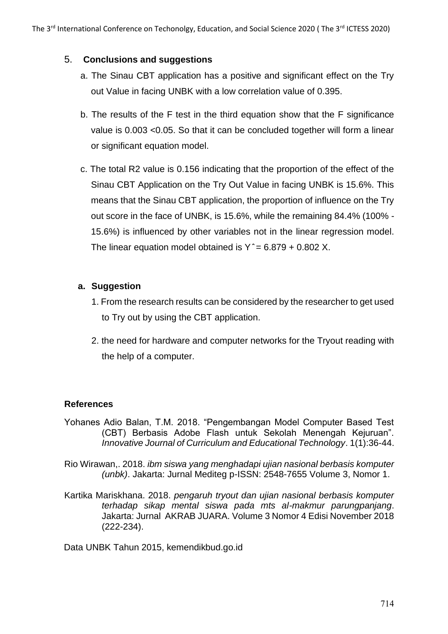## 5. **Conclusions and suggestions**

- a. The Sinau CBT application has a positive and significant effect on the Try out Value in facing UNBK with a low correlation value of 0.395.
- b. The results of the F test in the third equation show that the F significance value is 0.003 <0.05. So that it can be concluded together will form a linear or significant equation model.
- c. The total R2 value is 0.156 indicating that the proportion of the effect of the Sinau CBT Application on the Try Out Value in facing UNBK is 15.6%. This means that the Sinau CBT application, the proportion of influence on the Try out score in the face of UNBK, is 15.6%, while the remaining 84.4% (100% - 15.6%) is influenced by other variables not in the linear regression model. The linear equation model obtained is  $Y^* = 6.879 + 0.802 X$ .

## **a. Suggestion**

- 1. From the research results can be considered by the researcher to get used to Try out by using the CBT application.
- 2. the need for hardware and computer networks for the Tryout reading with the help of a computer.

## **References**

- Yohanes Adio Balan, T.M. 2018. "Pengembangan Model Computer Based Test (CBT) Berbasis Adobe Flash untuk Sekolah Menengah Kejuruan". *Innovative Journal of Curriculum and Educational Technology*. 1(1):36-44.
- Rio Wirawan,. 2018. *ibm siswa yang menghadapi ujian nasional berbasis komputer (unbk)*. Jakarta: Jurnal Mediteg p-ISSN: 2548-7655 Volume 3, Nomor 1.
- Kartika Mariskhana. 2018. *pengaruh tryout dan ujian nasional berbasis komputer terhadap sikap mental siswa pada mts al-makmur parungpanjang*. Jakarta: Jurnal AKRAB JUARA. Volume 3 Nomor 4 Edisi November 2018 (222-234).

Data UNBK Tahun 2015, kemendikbud.go.id